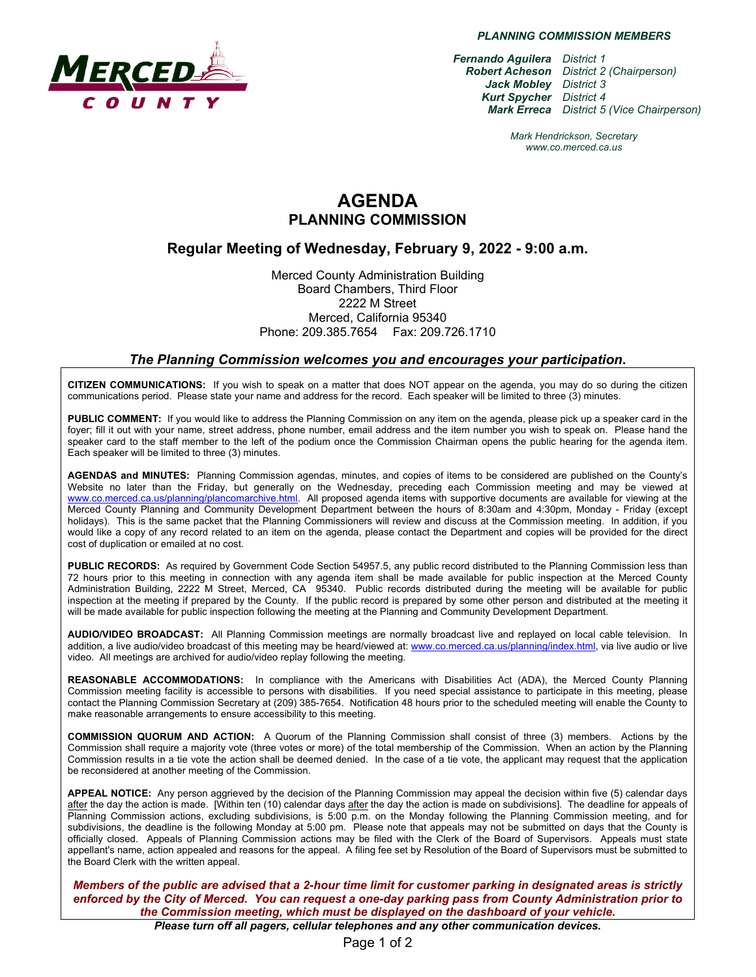

*PLANNING COMMISSION MEMBERS*

*Fernando Aguilera District 1 Robert Acheson District 2 (Chairperson) Jack Mobley District 3 Kurt Spycher District 4 Mark Erreca District 5 (Vice Chairperson)*

> *Mark Hendrickson, Secretary www.co.merced.ca.us*

# **AGENDA PLANNING COMMISSION**

#### **Regular Meeting of Wednesday, February 9, 2022 - 9:00 a.m.**

Merced County Administration Building Board Chambers, Third Floor 2222 M Street Merced, California 95340 Phone: 209.385.7654 Fax: 209.726.1710

#### *The Planning Commission welcomes you and encourages your participation***.**

**CITIZEN COMMUNICATIONS:** If you wish to speak on a matter that does NOT appear on the agenda, you may do so during the citizen communications period. Please state your name and address for the record. Each speaker will be limited to three (3) minutes.

**PUBLIC COMMENT:** If you would like to address the Planning Commission on any item on the agenda, please pick up a speaker card in the foyer; fill it out with your name, street address, phone number, email address and the item number you wish to speak on. Please hand the speaker card to the staff member to the left of the podium once the Commission Chairman opens the public hearing for the agenda item. Each speaker will be limited to three (3) minutes.

**AGENDAS and MINUTES:** Planning Commission agendas, minutes, and copies of items to be considered are published on the County's Website no later than the Friday, but generally on the Wednesday, preceding each Commission meeting and may be viewed at [www.co.merced.ca.us/planning/plancomarchive.html.](http://www.co.merced.ca.us/planning/plancomarchive.html) All proposed agenda items with supportive documents are available for viewing at the Merced County Planning and Community Development Department between the hours of 8:30am and 4:30pm, Monday - Friday (except holidays). This is the same packet that the Planning Commissioners will review and discuss at the Commission meeting. In addition, if you would like a copy of any record related to an item on the agenda, please contact the Department and copies will be provided for the direct cost of duplication or emailed at no cost.

**PUBLIC RECORDS:** As required by Government Code Section 54957.5, any public record distributed to the Planning Commission less than 72 hours prior to this meeting in connection with any agenda item shall be made available for public inspection at the Merced County Administration Building, 2222 M Street, Merced, CA 95340. Public records distributed during the meeting will be available for public inspection at the meeting if prepared by the County. If the public record is prepared by some other person and distributed at the meeting it will be made available for public inspection following the meeting at the Planning and Community Development Department.

**AUDIO/VIDEO BROADCAST:** All Planning Commission meetings are normally broadcast live and replayed on local cable television. In addition, a live audio/video broadcast of this meeting may be heard/viewed at: [www.co.merced.ca.us/planning/index.html,](http://www.co.merced.ca.us/planning/index.html) via live audio or live video. All meetings are archived for audio/video replay following the meeting.

**REASONABLE ACCOMMODATIONS:** In compliance with the Americans with Disabilities Act (ADA), the Merced County Planning Commission meeting facility is accessible to persons with disabilities. If you need special assistance to participate in this meeting, please contact the Planning Commission Secretary at (209) 385-7654. Notification 48 hours prior to the scheduled meeting will enable the County to make reasonable arrangements to ensure accessibility to this meeting.

**COMMISSION QUORUM AND ACTION:** A Quorum of the Planning Commission shall consist of three (3) members. Actions by the Commission shall require a majority vote (three votes or more) of the total membership of the Commission. When an action by the Planning Commission results in a tie vote the action shall be deemed denied. In the case of a tie vote, the applicant may request that the application be reconsidered at another meeting of the Commission.

**APPEAL NOTICE:** Any person aggrieved by the decision of the Planning Commission may appeal the decision within five (5) calendar days after the day the action is made. [Within ten (10) calendar days after the day the action is made on subdivisions]. The deadline for appeals of Planning Commission actions, excluding subdivisions, is 5:00 p.m. on the Monday following the Planning Commission meeting, and for subdivisions, the deadline is the following Monday at 5:00 pm. Please note that appeals may not be submitted on days that the County is officially closed. Appeals of Planning Commission actions may be filed with the Clerk of the Board of Supervisors. Appeals must state appellant's name, action appealed and reasons for the appeal. A filing fee set by Resolution of the Board of Supervisors must be submitted to the Board Clerk with the written appeal.

*Members of the public are advised that a 2-hour time limit for customer parking in designated areas is strictly enforced by the City of Merced. You can request a one-day parking pass from County Administration prior to the Commission meeting, which must be displayed on the dashboard of your vehicle.*

*Please turn off all pagers, cellular telephones and any other communication devices.*